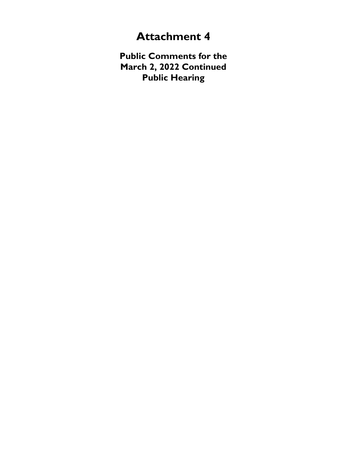## **Attachment 4**

**Public Comments for the March 2, 2022 Continued Public Hearing**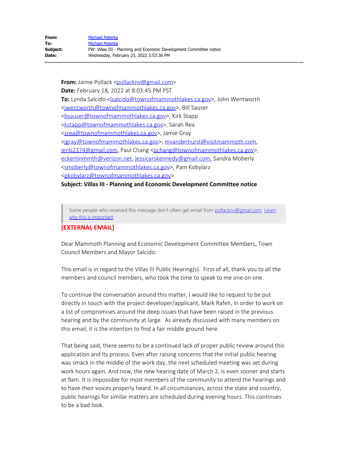**From:** Jaime Pollack [<pollacknv@gmail.com](mailto:pollacknv@gmail.com)> **Date:** February 18, 2022 at 8:03:45 PM PST To: Lynda Salcido [<lsalcido@townofmammothlakes.ca.gov](mailto:lsalcido@townofmammothlakes.ca.gov)>, John Wentworth [<jwentworth@townofmammothlakes.ca.gov](mailto:jwentworth@townofmammothlakes.ca.gov)>, Bill Sauser [<bsauser@townofmammothlakes.ca.gov](mailto:bsauser@townofmammothlakes.ca.gov)>, Kirk Stapp [<kstapp@townofmammothlakes.ca.gov](mailto:kstapp@townofmammothlakes.ca.gov)>, Sarah Rea [<srea@townofmammothlakes.ca.gov](mailto:srea@townofmammothlakes.ca.gov)>, Jamie Gray [<jgray@townofmammothlakes.ca.gov](mailto:jgray@townofmammothlakes.ca.gov)>, [mvanderhurst@visitmammoth.com](mailto:mvanderhurst@visitmammoth.com), [jenb2374@gmail.com](mailto:jenb2374@gmail.com), Paul Chang [<pchang@townofmammothlakes.ca.gov](mailto:pchang@townofmammothlakes.ca.gov)>, [eckertinmmth@verizon.net,](mailto:eckertinmmth@verizon.net) [jessicarskennedy@gmail.com](mailto:jessicarskennedy@gmail.com), Sandra Moberly [<smoberly@townofmammothlakes.ca.gov](mailto:smoberly@townofmammothlakes.ca.gov)>, Pam Kobylarz [<pkobylarz@townofmammothlakes.ca.gov](mailto:pkobylarz@townofmammothlakes.ca.gov)>

**Subject: Villas III - Planning and Economic Development Committee notice**

Some people who received this message don't often get email from [pollacknv@gmail.com.](mailto:pollacknv@gmail.com) [Learn](http://aka.ms/LearnAboutSenderIdentification) [why this is important](http://aka.ms/LearnAboutSenderIdentification)

## **[EXTERNAL EMAIL]**

Dear Mammoth Planning and Economic Development Committee Members, Town Council Members and Mayor Salcido:

This email is in regard to the Villas III Public Hearing(s). First of all, thank you to all the members and council members, who took the time to speak to me one on one.

To continue the conversation around this matter, I would like to request to be put directly in touch with the project developer/applicant, Mark Rafeh, in order to work on a list of compromises around the deep issues that have been raised in the previous hearing and by the community at large. As already discussed with many members on this email, it is the intention to find a fair middle ground here.

That being said, there seems to be a continued lack of proper public review around this application and its process. Even after raising concerns that the initial public hearing was smack in the middle of the work day, the next scheduled meeting was set during work hours again. And now, the new hearing date of March 2, is even sooner and starts at 9am. It is impossible for most members of the community to attend the hearings and to have their voices properly heard. In all circumstances, across the state and country, public hearings for similar matters are scheduled during evening hours. This continues to be a bad look.